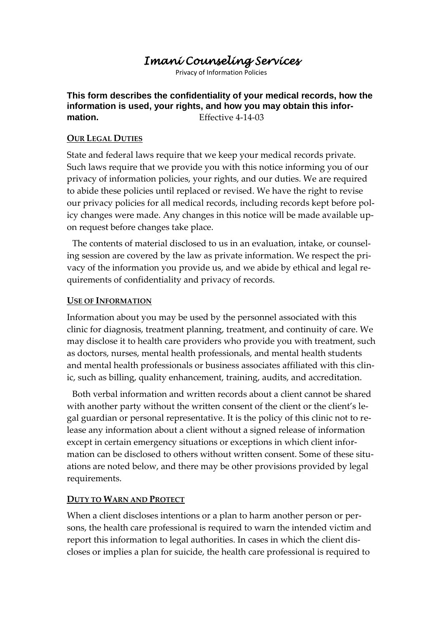# *Imani Counseling Services*

Privacy of Information Policies

**This form describes the confidentiality of your medical records, how the information is used, your rights, and how you may obtain this information.** Effective 4-14-03

#### **OUR LEGAL DUTIES**

State and federal laws require that we keep your medical records private. Such laws require that we provide you with this notice informing you of our privacy of information policies, your rights, and our duties. We are required to abide these policies until replaced or revised. We have the right to revise our privacy policies for all medical records, including records kept before policy changes were made. Any changes in this notice will be made available upon request before changes take place.

The contents of material disclosed to us in an evaluation, intake, or counseling session are covered by the law as private information. We respect the privacy of the information you provide us, and we abide by ethical and legal requirements of confidentiality and privacy of records.

#### **USE OF INFORMATION**

Information about you may be used by the personnel associated with this clinic for diagnosis, treatment planning, treatment, and continuity of care. We may disclose it to health care providers who provide you with treatment, such as doctors, nurses, mental health professionals, and mental health students and mental health professionals or business associates affiliated with this clinic, such as billing, quality enhancement, training, audits, and accreditation.

Both verbal information and written records about a client cannot be shared with another party without the written consent of the client or the client's legal guardian or personal representative. It is the policy of this clinic not to release any information about a client without a signed release of information except in certain emergency situations or exceptions in which client information can be disclosed to others without written consent. Some of these situations are noted below, and there may be other provisions provided by legal requirements.

#### **DUTY TO WARN AND PROTECT**

When a client discloses intentions or a plan to harm another person or persons, the health care professional is required to warn the intended victim and report this information to legal authorities. In cases in which the client discloses or implies a plan for suicide, the health care professional is required to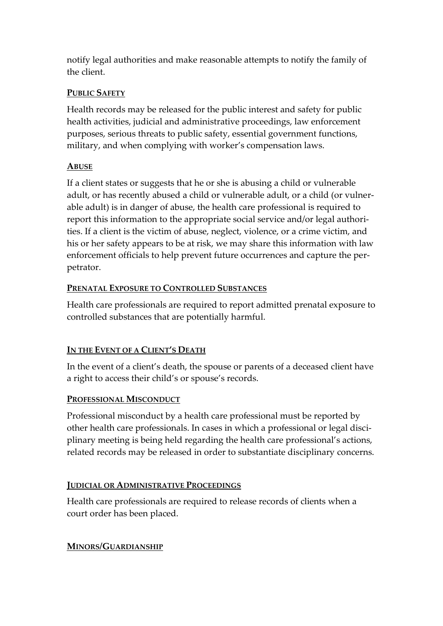notify legal authorities and make reasonable attempts to notify the family of the client.

# **PUBLIC SAFETY**

Health records may be released for the public interest and safety for public health activities, judicial and administrative proceedings, law enforcement purposes, serious threats to public safety, essential government functions, military, and when complying with worker's compensation laws.

# **ABUSE**

If a client states or suggests that he or she is abusing a child or vulnerable adult, or has recently abused a child or vulnerable adult, or a child (or vulnerable adult) is in danger of abuse, the health care professional is required to report this information to the appropriate social service and/or legal authorities. If a client is the victim of abuse, neglect, violence, or a crime victim, and his or her safety appears to be at risk, we may share this information with law enforcement officials to help prevent future occurrences and capture the perpetrator.

# **PRENATAL EXPOSURE TO CONTROLLED SUBSTANCES**

Health care professionals are required to report admitted prenatal exposure to controlled substances that are potentially harmful.

# **IN THE EVENT OF A CLIENT'S DEATH**

In the event of a client's death, the spouse or parents of a deceased client have a right to access their child's or spouse's records.

## **PROFESSIONAL MISCONDUCT**

Professional misconduct by a health care professional must be reported by other health care professionals. In cases in which a professional or legal disciplinary meeting is being held regarding the health care professional's actions, related records may be released in order to substantiate disciplinary concerns.

## **JUDICIAL OR ADMINISTRATIVE PROCEEDINGS**

Health care professionals are required to release records of clients when a court order has been placed.

## **MINORS/GUARDIANSHIP**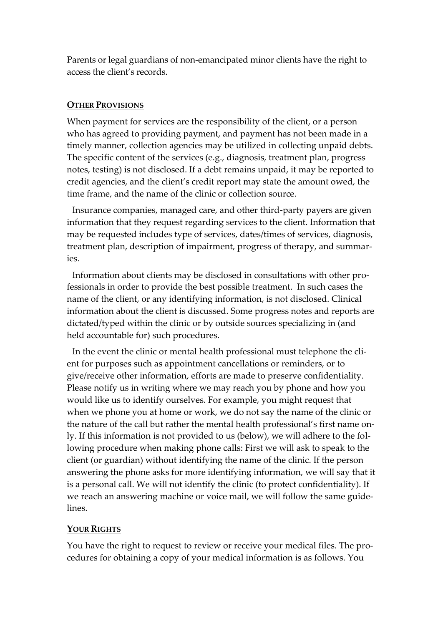Parents or legal guardians of non-emancipated minor clients have the right to access the client's records.

#### **OTHER PROVISIONS**

When payment for services are the responsibility of the client, or a person who has agreed to providing payment, and payment has not been made in a timely manner, collection agencies may be utilized in collecting unpaid debts. The specific content of the services (e.g., diagnosis, treatment plan, progress notes, testing) is not disclosed. If a debt remains unpaid, it may be reported to credit agencies, and the client's credit report may state the amount owed, the time frame, and the name of the clinic or collection source.

Insurance companies, managed care, and other third-party payers are given information that they request regarding services to the client. Information that may be requested includes type of services, dates/times of services, diagnosis, treatment plan, description of impairment, progress of therapy, and summaries.

Information about clients may be disclosed in consultations with other professionals in order to provide the best possible treatment. In such cases the name of the client, or any identifying information, is not disclosed. Clinical information about the client is discussed. Some progress notes and reports are dictated/typed within the clinic or by outside sources specializing in (and held accountable for) such procedures.

In the event the clinic or mental health professional must telephone the client for purposes such as appointment cancellations or reminders, or to give/receive other information, efforts are made to preserve confidentiality. Please notify us in writing where we may reach you by phone and how you would like us to identify ourselves. For example, you might request that when we phone you at home or work, we do not say the name of the clinic or the nature of the call but rather the mental health professional's first name only. If this information is not provided to us (below), we will adhere to the following procedure when making phone calls: First we will ask to speak to the client (or guardian) without identifying the name of the clinic. If the person answering the phone asks for more identifying information, we will say that it is a personal call. We will not identify the clinic (to protect confidentiality). If we reach an answering machine or voice mail, we will follow the same guidelines.

#### **YOUR RIGHTS**

You have the right to request to review or receive your medical files. The procedures for obtaining a copy of your medical information is as follows. You